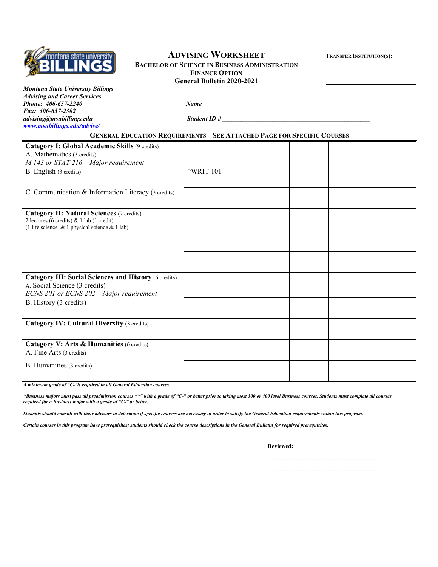

# **ADVISING WORKSHEET TRANSFER INSTITUTION(S):**

# **BACHELOR OF SCIENCE IN BUSINESS ADMINISTRATION FINANCE OPTION General Bulletin 2020-2021**

| Montana State University Billings   |              |  |
|-------------------------------------|--------------|--|
| <b>Advising and Career Services</b> |              |  |
| Phone: 406-657-2240                 | Name         |  |
| <i>Fax:</i> $406-657-2302$          |              |  |
| advising@msubillings.edu            | Student ID # |  |
| www.msubillings.edu/advise/         |              |  |

| <b>GENERAL EDUCATION REQUIREMENTS - SEE ATTACHED PAGE FOR SPECIFIC COURSES</b>                  |                      |  |  |  |  |  |
|-------------------------------------------------------------------------------------------------|----------------------|--|--|--|--|--|
| Category I: Global Academic Skills (9 credits)                                                  |                      |  |  |  |  |  |
| A. Mathematics (3 credits)                                                                      |                      |  |  |  |  |  |
| $M$ 143 or STAT 216 – Major requirement                                                         |                      |  |  |  |  |  |
| B. English (3 credits)                                                                          | $^{\wedge}$ WRIT 101 |  |  |  |  |  |
|                                                                                                 |                      |  |  |  |  |  |
| C. Communication & Information Literacy (3 credits)                                             |                      |  |  |  |  |  |
|                                                                                                 |                      |  |  |  |  |  |
| <b>Category II: Natural Sciences (7 credits)</b>                                                |                      |  |  |  |  |  |
| 2 lectures (6 credits) & 1 lab (1 credit)<br>(1 life science $\&$ 1 physical science $&$ 1 lab) |                      |  |  |  |  |  |
|                                                                                                 |                      |  |  |  |  |  |
|                                                                                                 |                      |  |  |  |  |  |
|                                                                                                 |                      |  |  |  |  |  |
|                                                                                                 |                      |  |  |  |  |  |
|                                                                                                 |                      |  |  |  |  |  |
| <b>Category III: Social Sciences and History (6 credits)</b>                                    |                      |  |  |  |  |  |
| A. Social Science (3 credits)                                                                   |                      |  |  |  |  |  |
| ECNS 201 or ECNS 202 - Major requirement                                                        |                      |  |  |  |  |  |
| B. History (3 credits)                                                                          |                      |  |  |  |  |  |
|                                                                                                 |                      |  |  |  |  |  |
| <b>Category IV: Cultural Diversity (3 credits)</b>                                              |                      |  |  |  |  |  |
|                                                                                                 |                      |  |  |  |  |  |
| Category V: Arts & Humanities (6 credits)                                                       |                      |  |  |  |  |  |
| A. Fine Arts (3 credits)                                                                        |                      |  |  |  |  |  |
| B. Humanities (3 credits)                                                                       |                      |  |  |  |  |  |
|                                                                                                 |                      |  |  |  |  |  |

*A minimum grade of "C-"is required in all General Education courses.* 

*^Business majors must pass all preadmission courses "^" with a grade of "C-" or better prior to taking most 300 or 400 level Business courses. Students must complete all courses required for a Business major with a grade of "C-" or better.*

*Students should consult with their advisors to determine if specific courses are necessary in order to satisfy the General Education requirements within this program.*

*Certain courses in this program have prerequisites; students should check the course descriptions in the General Bulletin for required prerequisites.*

**Reviewed:**

\_\_\_\_\_\_\_\_\_\_\_\_\_\_\_\_\_\_\_\_\_\_\_\_\_\_\_\_\_\_\_\_\_\_

\_\_\_\_\_\_\_\_\_\_\_\_\_\_\_\_\_\_\_\_\_\_\_\_\_\_\_\_\_\_\_\_\_\_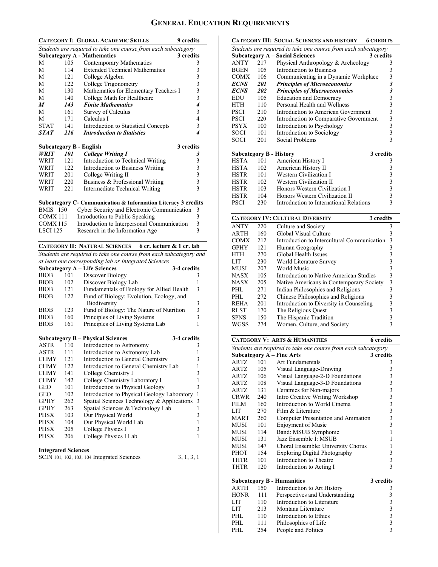## **GENERAL EDUCATION REQUIREMENTS**

|                 |     | <b>CATEGORY I: GLOBAL ACADEMIC SKILLS</b>                      | <b>9</b> credits                                     |
|-----------------|-----|----------------------------------------------------------------|------------------------------------------------------|
|                 |     | Students are required to take one course from each subcategory |                                                      |
|                 |     | <b>Subcategory A - Mathematics</b>                             | 3 credits                                            |
| M               | 105 | Contemporary Mathematics                                       | 3                                                    |
| M               | 114 | <b>Extended Technical Mathematics</b>                          |                                                      |
| M               | 121 | College Algebra                                                |                                                      |
| M               | 122 | College Trigonometry                                           | $\begin{array}{c} 3 \\ 3 \\ 3 \\ 3 \\ 3 \end{array}$ |
| M               | 130 | Mathematics for Elementary Teachers I                          |                                                      |
| M               | 140 | College Math for Healthcare                                    |                                                      |
| M               | 143 | <b>Finite Mathematics</b>                                      | 4                                                    |
| M               | 161 | Survey of Calculus                                             | $\mathfrak{Z}$                                       |
| M               | 171 | Calculus I                                                     | $\overline{4}$                                       |
| <b>STAT</b>     | 141 | Introduction to Statistical Concepts                           | 3                                                    |
| <b>STAT</b>     | 216 | <b>Introduction to Statistics</b>                              | $\overline{\mathcal{A}}$                             |
|                 |     | Subcategory B - English                                        | 3 credits                                            |
| <b>WRIT</b>     | 101 | <b>College Writing I</b>                                       | 3                                                    |
| WRIT            | 121 | Introduction to Technical Writing                              |                                                      |
| WRIT            | 122 | Introduction to Business Writing                               | $\begin{array}{c} 3 \\ 3 \\ 3 \\ 3 \\ 3 \end{array}$ |
| WRIT            | 201 | College Writing II                                             |                                                      |
| WRIT            | 220 | Business & Professional Writing                                |                                                      |
| WRIT            | 221 | Intermediate Technical Writing                                 |                                                      |
|                 |     | Subcategory C- Communication & Information Literacy 3 credits  |                                                      |
| <b>BMIS</b> 150 |     | Cyber Security and Electronic Communication                    | 3                                                    |
| COMX 111        |     | Introduction to Public Speaking                                |                                                      |
| COMX115         |     | Introduction to Interpersonal Communication                    | $\frac{3}{3}$                                        |
| <b>LSCI 125</b> |     | Research in the Information Age                                | $\overline{3}$                                       |
|                 |     | CATECODY II. NATURAL SCIENCES 6 or looture & 1 or lob          |                                                      |

### **CATEGORY II: NATURAL SCIENCES 6 cr. lecture & 1 cr. lab**

*Students are required to take one course from each subcategory and at least one corresponding lab or Integrated Sciences*

|             |     | <b>Subcategory A – Life Sciences</b><br>3-4 credits |               |
|-------------|-----|-----------------------------------------------------|---------------|
| <b>BIOB</b> | 101 | Discover Biology                                    | 3             |
| <b>BIOB</b> | 102 | Discover Biology Lab                                | L             |
| <b>BIOB</b> | 121 | Fundamentals of Biology for Allied Health           | $\mathcal{R}$ |
| <b>BIOB</b> | 122 | Fund of Biology: Evolution, Ecology, and            |               |
|             |     | Biodiversity                                        | 3             |
| <b>BIOB</b> | 123 | Fund of Biology: The Nature of Nutrition            | 3             |
| <b>BIOB</b> | 160 | Principles of Living Systems                        | 3             |
| <b>BIOB</b> | 161 | Principles of Living Systems Lab                    | 1             |

|                            | <b>Subcategory B – Physical Sciences</b><br>3-4 credits |                                             |    |  |
|----------------------------|---------------------------------------------------------|---------------------------------------------|----|--|
| <b>ASTR</b>                | 110                                                     | Introduction to Astronomy                   | 3  |  |
| ASTR                       | 111                                                     | Introduction to Astronomy Lab               |    |  |
| <b>CHMY</b>                | 121                                                     | Introduction to General Chemistry           | 3  |  |
| <b>CHMY</b>                | 122                                                     | Introduction to General Chemistry Lab       |    |  |
| <b>CHMY</b>                | 141                                                     | College Chemistry I                         | 3  |  |
| <b>CHMY</b>                | 142                                                     | College Chemistry Laboratory I              |    |  |
| GEO                        | 101                                                     | Introduction to Physical Geology            | 3  |  |
| GEO                        | 102                                                     | Introduction to Physical Geology Laboratory | -1 |  |
| <b>GPHY</b>                | 262                                                     | Spatial Sciences Technology & Applications  | 3  |  |
| <b>GPHY</b>                | 263                                                     | Spatial Sciences & Technology Lab           | 1  |  |
| <b>PHSX</b>                | 103                                                     | Our Physical World                          | 3  |  |
| <b>PHSX</b>                | 104                                                     | Our Physical World Lab                      |    |  |
| PHSX                       | 205                                                     | College Physics I                           | 3  |  |
| <b>PHSX</b>                | 206                                                     | College Physics I Lab                       |    |  |
| <b>Integrated Sciences</b> |                                                         |                                             |    |  |

| SCIN 101, 102, 103, 104 Integrated Sciences | 3, 1, 3, 1 |
|---------------------------------------------|------------|

|             |            | <b>CATEGORY III: SOCIAL SCIENCES AND HISTORY</b><br><b>6 CREDITS</b> |                             |
|-------------|------------|----------------------------------------------------------------------|-----------------------------|
|             |            | Students are required to take one course from each subcategory       |                             |
|             |            | <b>Subcategory A - Social Sciences</b>                               | 3 credits                   |
| <b>ANTY</b> | 217        | Physical Anthropology & Archeology                                   | 3                           |
| <b>BGEN</b> | 105        | Introduction to Business                                             | 3                           |
| COMX        | 106        | Communicating in a Dynamic Workplace                                 | $\overline{\mathbf{3}}$     |
| <i>ECNS</i> | 201        | <b>Principles of Microeconomics</b>                                  | $\boldsymbol{\mathfrak{z}}$ |
| <b>ECNS</b> | <b>202</b> | <b>Principles of Macroeconomics</b>                                  | $\boldsymbol{\mathfrak{z}}$ |
| <b>EDU</b>  | 105        | <b>Education and Democracy</b>                                       | 3                           |
| <b>HTH</b>  | 110        | Personal Health and Wellness                                         | 3                           |
| <b>PSCI</b> | 210        | Introduction to American Government                                  | $\overline{\mathbf{3}}$     |
| <b>PSCI</b> | 220        | Introduction to Comparative Government                               | 3                           |
| <b>PSYX</b> | 100        | Introduction to Psychology                                           | 3                           |
| SOCI        | 101        | Introduction to Sociology                                            | $\overline{\mathbf{3}}$     |
| SOCI        | 201        | Social Problems                                                      | $\overline{\mathcal{E}}$    |
|             |            |                                                                      |                             |
|             |            | <b>Subcategory B - History</b>                                       | 3 credits                   |
| <b>HSTA</b> | 101        | American History I                                                   | 3                           |
| <b>HSTA</b> | 102        | American History II                                                  | 3                           |
| <b>HSTR</b> | 101        | Western Civilization I                                               | $\overline{\mathbf{3}}$     |
| <b>HSTR</b> | 102        | Western Civilization II                                              | 3                           |
| HSTR        | 103        | Honors Western Civilization I                                        | 3                           |
| <b>HSTR</b> | 104        | Honors Western Civilization II                                       | $\overline{\mathbf{3}}$     |
| <b>PSCI</b> | 230        | Introduction to International Relations                              | $\overline{\mathbf{3}}$     |

|             |      | <b>CATEGORY IV: CULTURAL DIVERSITY</b><br>3 credits |   |
|-------------|------|-----------------------------------------------------|---|
| <b>ANTY</b> | 220  | Culture and Society                                 | 3 |
| <b>ARTH</b> | 160  | Global Visual Culture                               | 3 |
| <b>COMX</b> | 2.12 | Introduction to Intercultural Communication         | 3 |
| <b>GPHY</b> | 121  | Human Geography                                     | 3 |
| HTH         | 270  | Global Health Issues                                |   |
| LIT         | 230  | World Literature Survey                             | 3 |
| <b>MUSI</b> | 207  | World Music                                         | 3 |
| NASX        | 105  | Introduction to Native American Studies             | 3 |
| <b>NASX</b> | 205  | Native Americans in Contemporary Society            | 3 |
| PHL.        | 271  | Indian Philosophies and Religions                   | 3 |
| PHL.        | 272  | Chinese Philosophies and Religions                  | 3 |
| <b>REHA</b> | 201  | Introduction to Diversity in Counseling             | 3 |
| <b>RLST</b> | 170  | The Religious Quest                                 | 3 |
| <b>SPNS</b> | 150  | The Hispanic Tradition                              |   |
| WGSS        | 274  | Women, Culture, and Society                         | 3 |
|             |      |                                                     |   |

|             |     | <b>CATEGORY V: ARTS &amp; HUMANITIES</b>                       | <b>6</b> credits                                     |  |
|-------------|-----|----------------------------------------------------------------|------------------------------------------------------|--|
|             |     | Students are required to take one course from each subcategory |                                                      |  |
|             |     | <b>Subcategory A - Fine Arts</b>                               | 3 credits                                            |  |
| ARTZ        | 101 | Art Fundamentals                                               | 3                                                    |  |
| <b>ARTZ</b> | 105 | Visual Language-Drawing                                        |                                                      |  |
| <b>ARTZ</b> | 106 | Visual Language-2-D Foundations                                | 33333333                                             |  |
| ARTZ        | 108 | Visual Language-3-D Foundations                                |                                                      |  |
| <b>ARTZ</b> | 131 | Ceramics for Non-majors                                        |                                                      |  |
| CRWR        | 240 | Intro Creative Writing Workshop                                |                                                      |  |
| <b>FILM</b> | 160 | Introduction to World Cinema                                   |                                                      |  |
| <b>LIT</b>  | 270 | Film & Literature                                              |                                                      |  |
| <b>MART</b> | 260 | Computer Presentation and Animation                            |                                                      |  |
| MUSI        | 101 | <b>Enjoyment of Music</b>                                      |                                                      |  |
| <b>MUSI</b> | 114 | Band: MSUB Symphonic                                           | $\mathbf{1}$                                         |  |
| MUSI        | 131 | Jazz Ensemble I: MSUB                                          | 1                                                    |  |
| MUSI        | 147 | Choral Ensemble: University Chorus                             | 1                                                    |  |
| PHOT        | 154 | <b>Exploring Digital Photography</b>                           |                                                      |  |
| <b>THTR</b> | 101 | Introduction to Theatre                                        | $\begin{array}{c} 3 \\ 3 \\ 3 \end{array}$           |  |
| THTR        | 120 | Introduction to Acting I                                       |                                                      |  |
|             |     | <b>Subcategory B - Humanities</b>                              | 3 credits                                            |  |
| <b>ARTH</b> | 150 | Introduction to Art History                                    | 3                                                    |  |
| <b>HONR</b> | 111 | Perspectives and Understanding                                 |                                                      |  |
| LIT         | 110 | Introduction to Literature                                     |                                                      |  |
| LIT         | 213 | Montana Literature                                             |                                                      |  |
| PHL.        | 110 | Introduction to Ethics                                         | $\begin{array}{c} 3 \\ 3 \\ 3 \\ 3 \\ 3 \end{array}$ |  |
| PHL         | 111 | Philosophies of Life                                           |                                                      |  |
| PHL         | 254 | People and Politics                                            | $\overline{3}$                                       |  |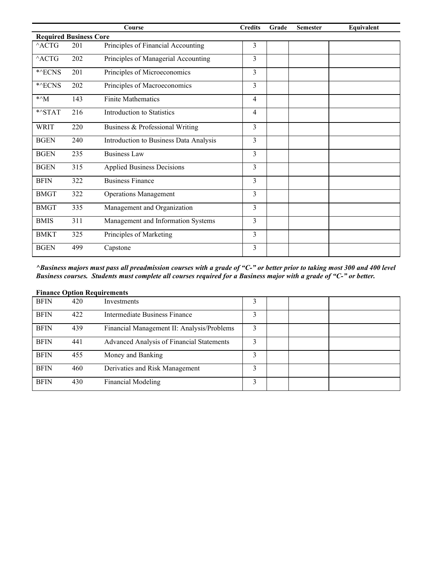|                                      |     | Course                                 | <b>Credits</b> | Grade | <b>Semester</b> | Equivalent |
|--------------------------------------|-----|----------------------------------------|----------------|-------|-----------------|------------|
| <b>Required Business Core</b>        |     |                                        |                |       |                 |            |
| $^{\wedge}$ ACTG                     | 201 | Principles of Financial Accounting     | 3              |       |                 |            |
| $^{\wedge}$ ACTG                     | 202 | Principles of Managerial Accounting    | 3              |       |                 |            |
| *^ECNS                               | 201 | Principles of Microeconomics           | 3              |       |                 |            |
| *^ECNS                               | 202 | Principles of Macroeconomics           | 3              |       |                 |            |
| $*^{\wedge}$ M                       | 143 | <b>Finite Mathematics</b>              | $\overline{4}$ |       |                 |            |
| $\ensuremath{^{*\wedge}}\text{STAT}$ | 216 | <b>Introduction to Statistics</b>      | 4              |       |                 |            |
| <b>WRIT</b>                          | 220 | Business & Professional Writing        | 3              |       |                 |            |
| <b>BGEN</b>                          | 240 | Introduction to Business Data Analysis | 3              |       |                 |            |
| <b>BGEN</b>                          | 235 | <b>Business Law</b>                    | 3              |       |                 |            |
| <b>BGEN</b>                          | 315 | <b>Applied Business Decisions</b>      | 3              |       |                 |            |
| <b>BFIN</b>                          | 322 | <b>Business Finance</b>                | 3              |       |                 |            |
| <b>BMGT</b>                          | 322 | <b>Operations Management</b>           | 3              |       |                 |            |
| <b>BMGT</b>                          | 335 | Management and Organization            | 3              |       |                 |            |
| <b>BMIS</b>                          | 311 | Management and Information Systems     | 3              |       |                 |            |
| <b>BMKT</b>                          | 325 | Principles of Marketing                | 3              |       |                 |            |
| <b>BGEN</b>                          | 499 | Capstone                               | 3              |       |                 |            |

*^Business majors must pass all preadmission courses with a grade of "C-" or better prior to taking most 300 and 400 level Business courses. Students must complete all courses required for a Business major with a grade of "C-" or better.*

|             | <b>Finance Option Requirements</b> |                                            |   |  |  |  |  |  |
|-------------|------------------------------------|--------------------------------------------|---|--|--|--|--|--|
| <b>BFIN</b> | 420                                | Investments                                |   |  |  |  |  |  |
| <b>BFIN</b> | 422                                | Intermediate Business Finance              | 3 |  |  |  |  |  |
| <b>BFIN</b> | 439                                | Financial Management II: Analysis/Problems | 3 |  |  |  |  |  |
| <b>BFIN</b> | 441                                | Advanced Analysis of Financial Statements  | 3 |  |  |  |  |  |
| <b>BFIN</b> | 455                                | Money and Banking                          | 3 |  |  |  |  |  |
| <b>BFIN</b> | 460                                | Derivaties and Risk Management             | 3 |  |  |  |  |  |
| <b>BFIN</b> | 430                                | <b>Financial Modeling</b>                  | 3 |  |  |  |  |  |